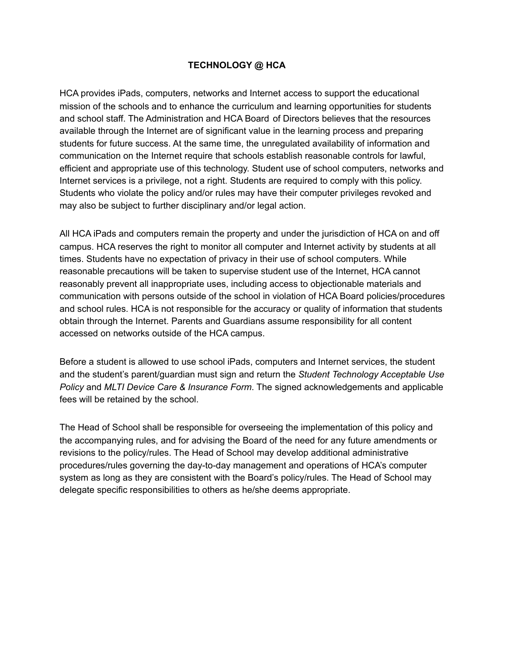# **TECHNOLOGY @ HCA**

HCA provides iPads, computers, networks and Internet access to support the educational mission of the schools and to enhance the curriculum and learning opportunities for students and school staff. The Administration and HCA Board of Directors believes that the resources available through the Internet are of significant value in the learning process and preparing students for future success. At the same time, the unregulated availability of information and communication on the Internet require that schools establish reasonable controls for lawful, efficient and appropriate use of this technology. Student use of school computers, networks and Internet services is a privilege, not a right. Students are required to comply with this policy. Students who violate the policy and/or rules may have their computer privileges revoked and may also be subject to further disciplinary and/or legal action.

All HCA iPads and computers remain the property and under the jurisdiction of HCA on and off campus. HCA reserves the right to monitor all computer and Internet activity by students at all times. Students have no expectation of privacy in their use of school computers. While reasonable precautions will be taken to supervise student use of the Internet, HCA cannot reasonably prevent all inappropriate uses, including access to objectionable materials and communication with persons outside of the school in violation of HCA Board policies/procedures and school rules. HCA is not responsible for the accuracy or quality of information that students obtain through the Internet. Parents and Guardians assume responsibility for all content accessed on networks outside of the HCA campus.

Before a student is allowed to use school iPads, computers and Internet services, the student and the student's parent/guardian must sign and return the *Student Technology Acceptable Use Policy* and *MLTI Device Care & Insurance Form*. The signed acknowledgements and applicable fees will be retained by the school.

The Head of School shall be responsible for overseeing the implementation of this policy and the accompanying rules, and for advising the Board of the need for any future amendments or revisions to the policy/rules. The Head of School may develop additional administrative procedures/rules governing the day-to-day management and operations of HCA's computer system as long as they are consistent with the Board's policy/rules. The Head of School may delegate specific responsibilities to others as he/she deems appropriate.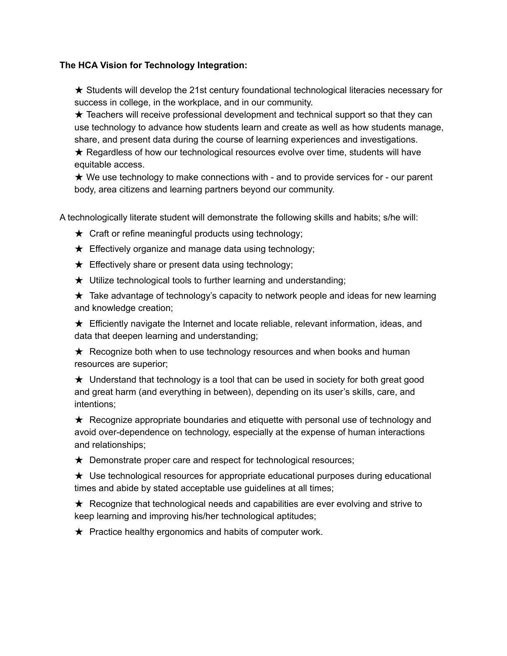# **The HCA Vision for Technology Integration:**

★ Students will develop the 21st century foundational technological literacies necessary for success in college, in the workplace, and in our community.

 $\star$  Teachers will receive professional development and technical support so that they can use technology to advance how students learn and create as well as how students manage, share, and present data during the course of learning experiences and investigations.

★ Regardless of how our technological resources evolve over time, students will have equitable access.

 $\star$  We use technology to make connections with - and to provide services for - our parent body, area citizens and learning partners beyond our community.

A technologically literate student will demonstrate the following skills and habits; s/he will:

- $\star$  Craft or refine meaningful products using technology;
- $\star$  Effectively organize and manage data using technology;
- $\star$  Effectively share or present data using technology;

★ Utilize technological tools to further learning and understanding;

 $\star$  Take advantage of technology's capacity to network people and ideas for new learning and knowledge creation;

★ Efficiently navigate the Internet and locate reliable, relevant information, ideas, and data that deepen learning and understanding;

★ Recognize both when to use technology resources and when books and human resources are superior;

 $\star$  Understand that technology is a tool that can be used in society for both great good and great harm (and everything in between), depending on its user's skills, care, and intentions;

 $\star$  Recognize appropriate boundaries and etiquette with personal use of technology and avoid over-dependence on technology, especially at the expense of human interactions and relationships;

★ Demonstrate proper care and respect for technological resources;

 $\star$  Use technological resources for appropriate educational purposes during educational times and abide by stated acceptable use guidelines at all times;

 $\star$  Recognize that technological needs and capabilities are ever evolving and strive to keep learning and improving his/her technological aptitudes;

 $\star$  Practice healthy ergonomics and habits of computer work.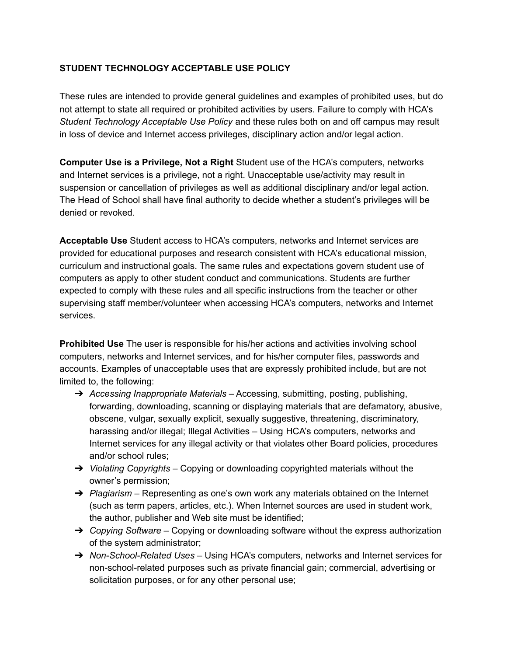# **STUDENT TECHNOLOGY ACCEPTABLE USE POLICY**

These rules are intended to provide general guidelines and examples of prohibited uses, but do not attempt to state all required or prohibited activities by users. Failure to comply with HCA's *Student Technology Acceptable Use Policy* and these rules both on and off campus may result in loss of device and Internet access privileges, disciplinary action and/or legal action.

**Computer Use is a Privilege, Not a Right** Student use of the HCA's computers, networks and Internet services is a privilege, not a right. Unacceptable use/activity may result in suspension or cancellation of privileges as well as additional disciplinary and/or legal action. The Head of School shall have final authority to decide whether a student's privileges will be denied or revoked.

**Acceptable Use** Student access to HCA's computers, networks and Internet services are provided for educational purposes and research consistent with HCA's educational mission, curriculum and instructional goals. The same rules and expectations govern student use of computers as apply to other student conduct and communications. Students are further expected to comply with these rules and all specific instructions from the teacher or other supervising staff member/volunteer when accessing HCA's computers, networks and Internet services.

**Prohibited Use** The user is responsible for his/her actions and activities involving school computers, networks and Internet services, and for his/her computer files, passwords and accounts. Examples of unacceptable uses that are expressly prohibited include, but are not limited to, the following:

- ➔ *Accessing Inappropriate Materials* Accessing, submitting, posting, publishing, forwarding, downloading, scanning or displaying materials that are defamatory, abusive, obscene, vulgar, sexually explicit, sexually suggestive, threatening, discriminatory, harassing and/or illegal; Illegal Activities – Using HCA's computers, networks and Internet services for any illegal activity or that violates other Board policies, procedures and/or school rules;
- ➔ *Violating Copyrights* Copying or downloading copyrighted materials without the owner's permission;
- ➔ *Plagiarism* Representing as one's own work any materials obtained on the Internet (such as term papers, articles, etc.). When Internet sources are used in student work, the author, publisher and Web site must be identified;
- ➔ *Copying Software* Copying or downloading software without the express authorization of the system administrator;
- ➔ *Non-School-Related Uses* Using HCA's computers, networks and Internet services for non-school-related purposes such as private financial gain; commercial, advertising or solicitation purposes, or for any other personal use;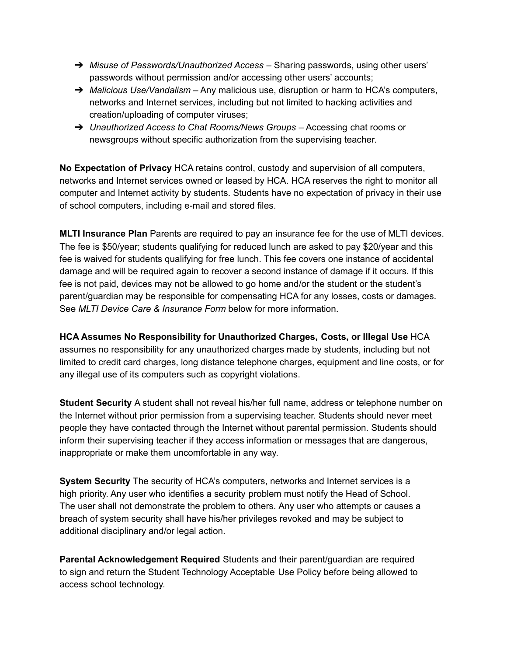- ➔ *Misuse of Passwords/Unauthorized Access* Sharing passwords, using other users' passwords without permission and/or accessing other users' accounts;
- ➔ *Malicious Use/Vandalism* Any malicious use, disruption or harm to HCA's computers, networks and Internet services, including but not limited to hacking activities and creation/uploading of computer viruses;
- ➔ *Unauthorized Access to Chat Rooms/News Groups* Accessing chat rooms or newsgroups without specific authorization from the supervising teacher.

**No Expectation of Privacy** HCA retains control, custody and supervision of all computers, networks and Internet services owned or leased by HCA. HCA reserves the right to monitor all computer and Internet activity by students. Students have no expectation of privacy in their use of school computers, including e-mail and stored files.

**MLTI Insurance Plan** Parents are required to pay an insurance fee for the use of MLTI devices. The fee is \$50/year; students qualifying for reduced lunch are asked to pay \$20/year and this fee is waived for students qualifying for free lunch. This fee covers one instance of accidental damage and will be required again to recover a second instance of damage if it occurs. If this fee is not paid, devices may not be allowed to go home and/or the student or the student's parent/guardian may be responsible for compensating HCA for any losses, costs or damages. See *MLTI Device Care & Insurance Form* below for more information.

**HCA Assumes No Responsibility for Unauthorized Charges, Costs, or Illegal Use** HCA assumes no responsibility for any unauthorized charges made by students, including but not limited to credit card charges, long distance telephone charges, equipment and line costs, or for any illegal use of its computers such as copyright violations.

**Student Security** A student shall not reveal his/her full name, address or telephone number on the Internet without prior permission from a supervising teacher. Students should never meet people they have contacted through the Internet without parental permission. Students should inform their supervising teacher if they access information or messages that are dangerous, inappropriate or make them uncomfortable in any way.

**System Security** The security of HCA's computers, networks and Internet services is a high priority. Any user who identifies a security problem must notify the Head of School. The user shall not demonstrate the problem to others. Any user who attempts or causes a breach of system security shall have his/her privileges revoked and may be subject to additional disciplinary and/or legal action.

**Parental Acknowledgement Required** Students and their parent/guardian are required to sign and return the Student Technology Acceptable Use Policy before being allowed to access school technology.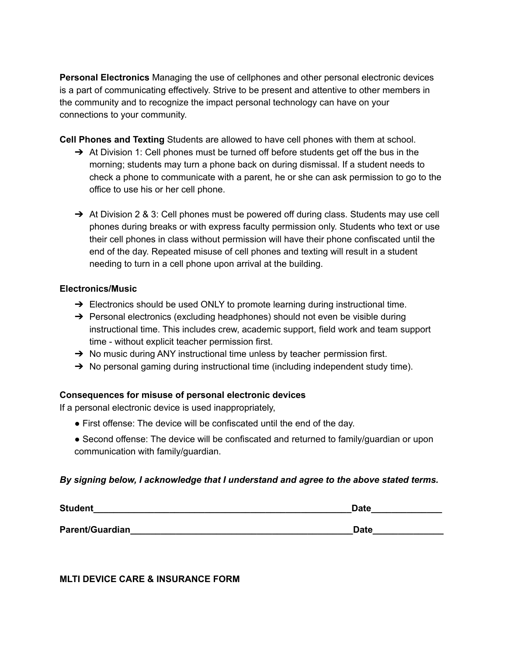**Personal Electronics** Managing the use of cellphones and other personal electronic devices is a part of communicating effectively. Strive to be present and attentive to other members in the community and to recognize the impact personal technology can have on your connections to your community.

**Cell Phones and Texting** Students are allowed to have cell phones with them at school.

- $\rightarrow$  At Division 1: Cell phones must be turned off before students get off the bus in the morning; students may turn a phone back on during dismissal. If a student needs to check a phone to communicate with a parent, he or she can ask permission to go to the office to use his or her cell phone.
- → At Division 2 & 3: Cell phones must be powered off during class. Students may use cell phones during breaks or with express faculty permission only. Students who text or use their cell phones in class without permission will have their phone confiscated until the end of the day. Repeated misuse of cell phones and texting will result in a student needing to turn in a cell phone upon arrival at the building.

### **Electronics/Music**

- $\rightarrow$  Electronics should be used ONLY to promote learning during instructional time.
- $\rightarrow$  Personal electronics (excluding headphones) should not even be visible during instructional time. This includes crew, academic support, field work and team support time - without explicit teacher permission first.
- $\rightarrow$  No music during ANY instructional time unless by teacher permission first.
- $\rightarrow$  No personal gaming during instructional time (including independent study time).

# **Consequences for misuse of personal electronic devices**

If a personal electronic device is used inappropriately,

- First offense: The device will be confiscated until the end of the day.
- Second offense: The device will be confiscated and returned to family/guardian or upon communication with family/guardian.

# *By signing below, I acknowledge that I understand and agree to the above stated terms.*

| <b>Student</b>  | Date |
|-----------------|------|
| Parent/Guardian | Date |
|                 |      |

**MLTI DEVICE CARE & INSURANCE FORM**